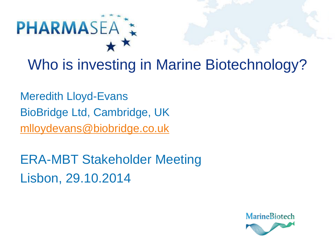

Who is investing in Marine Biotechnology?

Meredith Lloyd-Evans BioBridge Ltd, Cambridge, UK [mlloydevans@biobridge.co.uk](mailto:mlloydevans@biobridge.co.uk)

ERA-MBT Stakeholder Meeting Lisbon, 29.10.2014

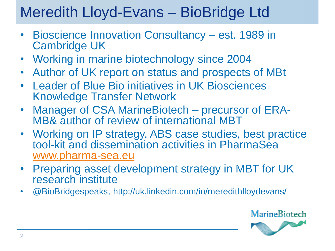## Meredith Lloyd-Evans – BioBridge Ltd

- Bioscience Innovation Consultancy est. 1989 in Cambridge UK
- Working in marine biotechnology since 2004
- Author of UK report on status and prospects of MBt
- Leader of Blue Bio initiatives in UK Biosciences Knowledge Transfer Network
- Manager of CSA MarineBiotech precursor of ERA-MB& author of review of international MBT
- Working on IP strategy, ABS case studies, best practice tool-kit and dissemination activities in PharmaSea [www.pharma-sea.eu](http://www.pharma-sae.eu/)
- Preparing asset development strategy in MBT for UK research institute
- @BioBridgespeaks, http://uk.linkedin.com/in/meredithlloydevans/

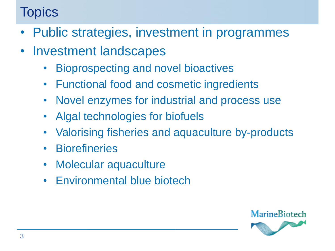#### **Topics**

- Public strategies, investment in programmes
- Investment landscapes
	- Bioprospecting and novel bioactives
	- Functional food and cosmetic ingredients
	- Novel enzymes for industrial and process use
	- Algal technologies for biofuels
	- Valorising fisheries and aquaculture by-products
	- Biorefineries
	- Molecular aquaculture
	- Environmental blue biotech

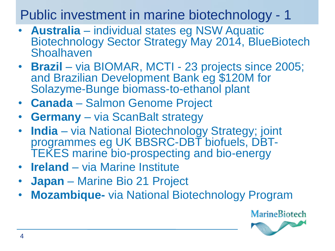#### Public investment in marine biotechnology - 1

- **Australia** individual states eg NSW Aquatic Biotechnology Sector Strategy May 2014, BlueBiotech **Shoalhaven**
- **Brazil** via BIOMAR, MCTI 23 projects since 2005; and Brazilian Development Bank eg \$120M for Solazyme-Bunge biomass-to-ethanol plant
- **Canada** Salmon Genome Project
- **Germany** via ScanBalt strategy
- **India** via National Biotechnology Strategy; joint programmes eg UK BBSRC-DBT biofuels, DBT-TEKES marine bio-prospecting and bio-energy
- **Ireland** via Marine Institute
- **Japan** Marine Bio 21 Project
- **Mozambique-** via National Biotechnology Program

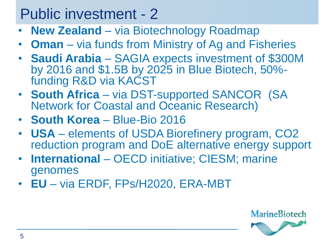#### Public investment - 2

- **New Zealand**  via Biotechnology Roadmap
- **Oman** via funds from Ministry of Ag and Fisheries
- **Saudi Arabia** SAGIA expects investment of \$300M by 2016 and \$1.5B by 2025 in Blue Biotech, 50% funding R&D via KACST
- **South Africa**  via DST-supported SANCOR (SA Network for Coastal and Oceanic Research)
- **South Korea** Blue-Bio 2016
- **USA** elements of USDA Biorefinery program, CO2 reduction program and DoE alternative energy support
- **International**  OECD initiative; CIESM; marine genomes
- **EU** via ERDF, FPs/H2020, ERA-MBT

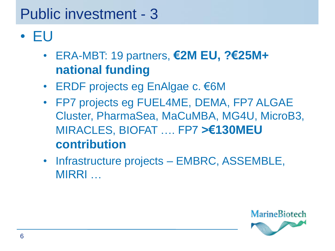# Public investment - 3

- EU
	- ERA-MBT: 19 partners, **€2M EU, ?€25M+ national funding**
	- ERDF projects eg EnAlgae c. €6M
	- FP7 projects eg FUEL4ME, DEMA, FP7 ALGAE Cluster, PharmaSea, MaCuMBA, MG4U, MicroB3, MIRACLES, BIOFAT …. FP7 **>€130MEU contribution**
	- Infrastructure projects EMBRC, ASSEMBLE, MIRRI …

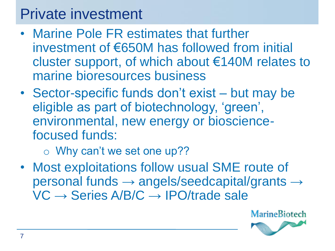#### Private investment

- Marine Pole FR estimates that further investment of €650M has followed from initial cluster support, of which about €140M relates to marine bioresources business
- Sector-specific funds don't exist but may be eligible as part of biotechnology, 'green', environmental, new energy or biosciencefocused funds:
	- o Why can't we set one up??
- Most exploitations follow usual SME route of personal funds → angels/seedcapital/grants →  $VC \rightarrow Series A/B/C \rightarrow IPO/trade sale$

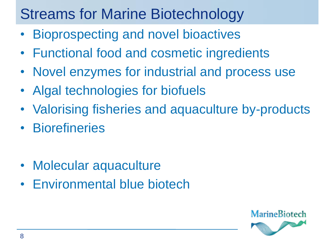## Streams for Marine Biotechnology

- Bioprospecting and novel bioactives
- Functional food and cosmetic ingredients
- Novel enzymes for industrial and process use
- Algal technologies for biofuels
- Valorising fisheries and aquaculture by-products
- Biorefineries
- Molecular aquaculture
- Environmental blue biotech

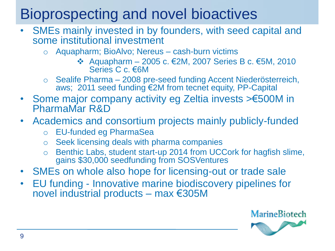## Bioprospecting and novel bioactives

- SMEs mainly invested in by founders, with seed capital and some institutional investment
	- o Aquapharm; BioAlvo; Nereus cash-burn victims
		- Aquapharm 2005 c. €2M, 2007 Series B c. €5M, 2010 Series C c. €6M
	- o Sealife Pharma 2008 pre-seed funding Accent Niederösterreich, aws; 2011 seed funding €2M from tecnet equity, PP-Capital
- Some major company activity eg Zeltia invests >€500M in PharmaMar R&D
- Academics and consortium projects mainly publicly-funded
	- o EU-funded eg PharmaSea
	- o Seek licensing deals with pharma companies
	- o Benthic Labs, student start-up 2014 from UCCork for hagfish slime, gains \$30,000 seedfunding from SOSVentures
- SMEs on whole also hope for licensing-out or trade sale
- EU funding Innovative marine biodiscovery pipelines for novel industrial products – max €305M

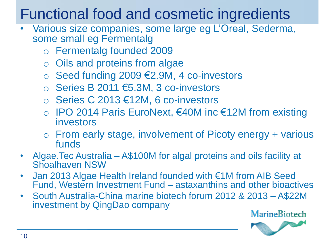## Functional food and cosmetic ingredients

- Various size companies, some large eg L'Oreal, Sederma, some small eg Fermentalg
	- o Fermentalg founded 2009
	- o Oils and proteins from algae
	- o Seed funding 2009 €2.9M, 4 co-investors
	- o Series B 2011 €5.3M, 3 co-investors
	- o Series C 2013 €12M, 6 co-investors
	- o IPO 2014 Paris EuroNext, €40M inc €12M from existing investors
	- o From early stage, involvement of Picoty energy + various funds
- Algae.Tec Australia A\$100M for algal proteins and oils facility at Shoalhaven NSW
- Jan 2013 Algae Health Ireland founded with €1M from AIB Seed Fund, Western Investment Fund – astaxanthins and other bioactives
- South Australia-China marine biotech forum 2012 & 2013 A\$22M investment by QingDao company

**MarineBiotech** 

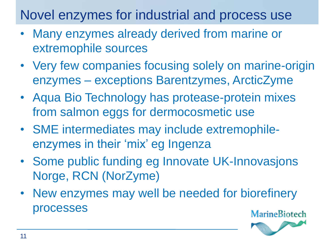Novel enzymes for industrial and process use

- Many enzymes already derived from marine or extremophile sources
- Very few companies focusing solely on marine-origin enzymes – exceptions Barentzymes, ArcticZyme
- Aqua Bio Technology has protease-protein mixes from salmon eggs for dermocosmetic use
- SME intermediates may include extremophileenzymes in their 'mix' eg Ingenza
- Some public funding eg Innovate UK-Innovasjons Norge, RCN (NorZyme)
- New enzymes may well be needed for biorefinery processes

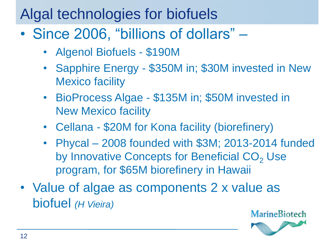#### Algal technologies for biofuels

- Since 2006, "billions of dollars"
	- Algenol Biofuels \$190M
	- Sapphire Energy \$350M in; \$30M invested in New Mexico facility
	- BioProcess Algae \$135M in; \$50M invested in New Mexico facility
	- Cellana \$20M for Kona facility (biorefinery)
	- Phycal 2008 founded with \$3M; 2013-2014 funded by Innovative Concepts for Beneficial CO<sub>2</sub> Use program, for \$65M biorefinery in Hawaii
- Value of algae as components 2 x value as biofuel *(H Vieira)*

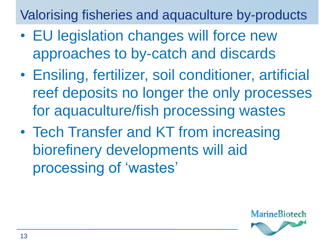Valorising fisheries and aquaculture by-products

- EU legislation changes will force new approaches to by-catch and discards
- Ensiling, fertilizer, soil conditioner, artificial reef deposits no longer the only processes for aquaculture/fish processing wastes
- Tech Transfer and KT from increasing biorefinery developments will aid processing of 'wastes'

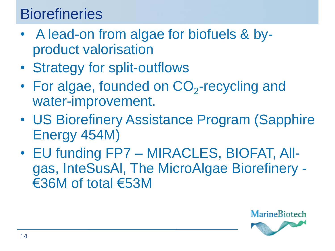## **Biorefineries**

- A lead-on from algae for biofuels & byproduct valorisation
- Strategy for split-outflows
- For algae, founded on  $CO_2$ -recycling and water-improvement.
- US Biorefinery Assistance Program (Sapphire Energy 454M)
- EU funding FP7 MIRACLES, BIOFAT, Allgas, InteSusAl, The MicroAlgae Biorefinery - €36M of total €53M